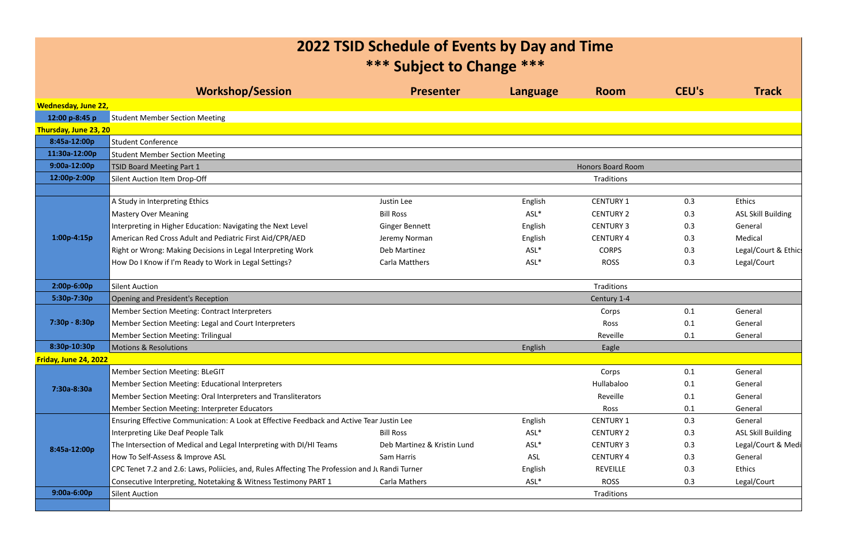## **2022 TSID Schedule of Events by Day and Time**

| *** Subject to Change ***                                                  |                                                                                                                                                                                                                                                                                                                                                                                                                                                                                                                                                                                                                                                                                                                                                                                                                                                             |                                                                                                                                                                                                                                                                                          |                                               |                                                                                              |                                        |  |  |
|----------------------------------------------------------------------------|-------------------------------------------------------------------------------------------------------------------------------------------------------------------------------------------------------------------------------------------------------------------------------------------------------------------------------------------------------------------------------------------------------------------------------------------------------------------------------------------------------------------------------------------------------------------------------------------------------------------------------------------------------------------------------------------------------------------------------------------------------------------------------------------------------------------------------------------------------------|------------------------------------------------------------------------------------------------------------------------------------------------------------------------------------------------------------------------------------------------------------------------------------------|-----------------------------------------------|----------------------------------------------------------------------------------------------|----------------------------------------|--|--|
| <b>Workshop/Session</b>                                                    | <b>Presenter</b>                                                                                                                                                                                                                                                                                                                                                                                                                                                                                                                                                                                                                                                                                                                                                                                                                                            | Language                                                                                                                                                                                                                                                                                 | <b>Room</b>                                   | CEU's                                                                                        | <b>Track</b>                           |  |  |
|                                                                            |                                                                                                                                                                                                                                                                                                                                                                                                                                                                                                                                                                                                                                                                                                                                                                                                                                                             |                                                                                                                                                                                                                                                                                          |                                               |                                                                                              |                                        |  |  |
|                                                                            |                                                                                                                                                                                                                                                                                                                                                                                                                                                                                                                                                                                                                                                                                                                                                                                                                                                             |                                                                                                                                                                                                                                                                                          |                                               |                                                                                              |                                        |  |  |
|                                                                            |                                                                                                                                                                                                                                                                                                                                                                                                                                                                                                                                                                                                                                                                                                                                                                                                                                                             |                                                                                                                                                                                                                                                                                          |                                               |                                                                                              |                                        |  |  |
|                                                                            |                                                                                                                                                                                                                                                                                                                                                                                                                                                                                                                                                                                                                                                                                                                                                                                                                                                             |                                                                                                                                                                                                                                                                                          |                                               |                                                                                              |                                        |  |  |
|                                                                            |                                                                                                                                                                                                                                                                                                                                                                                                                                                                                                                                                                                                                                                                                                                                                                                                                                                             |                                                                                                                                                                                                                                                                                          |                                               |                                                                                              |                                        |  |  |
|                                                                            |                                                                                                                                                                                                                                                                                                                                                                                                                                                                                                                                                                                                                                                                                                                                                                                                                                                             |                                                                                                                                                                                                                                                                                          | <b>Honors Board Room</b>                      |                                                                                              |                                        |  |  |
| 9:00a-12:00p<br>12:00p-2:00p<br>Silent Auction Item Drop-Off<br>Traditions |                                                                                                                                                                                                                                                                                                                                                                                                                                                                                                                                                                                                                                                                                                                                                                                                                                                             |                                                                                                                                                                                                                                                                                          |                                               |                                                                                              |                                        |  |  |
|                                                                            |                                                                                                                                                                                                                                                                                                                                                                                                                                                                                                                                                                                                                                                                                                                                                                                                                                                             |                                                                                                                                                                                                                                                                                          |                                               |                                                                                              | Ethics                                 |  |  |
|                                                                            |                                                                                                                                                                                                                                                                                                                                                                                                                                                                                                                                                                                                                                                                                                                                                                                                                                                             |                                                                                                                                                                                                                                                                                          |                                               |                                                                                              | <b>ASL Skill Building</b>              |  |  |
|                                                                            |                                                                                                                                                                                                                                                                                                                                                                                                                                                                                                                                                                                                                                                                                                                                                                                                                                                             |                                                                                                                                                                                                                                                                                          |                                               |                                                                                              | General                                |  |  |
|                                                                            |                                                                                                                                                                                                                                                                                                                                                                                                                                                                                                                                                                                                                                                                                                                                                                                                                                                             |                                                                                                                                                                                                                                                                                          |                                               |                                                                                              | Medical                                |  |  |
|                                                                            |                                                                                                                                                                                                                                                                                                                                                                                                                                                                                                                                                                                                                                                                                                                                                                                                                                                             |                                                                                                                                                                                                                                                                                          |                                               |                                                                                              | Legal/Court & Ethic                    |  |  |
| How Do I Know if I'm Ready to Work in Legal Settings?                      | <b>Carla Matthers</b>                                                                                                                                                                                                                                                                                                                                                                                                                                                                                                                                                                                                                                                                                                                                                                                                                                       | ASL*                                                                                                                                                                                                                                                                                     | <b>ROSS</b>                                   | 0.3                                                                                          | Legal/Court                            |  |  |
|                                                                            |                                                                                                                                                                                                                                                                                                                                                                                                                                                                                                                                                                                                                                                                                                                                                                                                                                                             |                                                                                                                                                                                                                                                                                          |                                               |                                                                                              |                                        |  |  |
| Traditions<br>Silent Auction                                               |                                                                                                                                                                                                                                                                                                                                                                                                                                                                                                                                                                                                                                                                                                                                                                                                                                                             |                                                                                                                                                                                                                                                                                          |                                               |                                                                                              |                                        |  |  |
|                                                                            |                                                                                                                                                                                                                                                                                                                                                                                                                                                                                                                                                                                                                                                                                                                                                                                                                                                             |                                                                                                                                                                                                                                                                                          | Century 1-4                                   |                                                                                              |                                        |  |  |
|                                                                            |                                                                                                                                                                                                                                                                                                                                                                                                                                                                                                                                                                                                                                                                                                                                                                                                                                                             |                                                                                                                                                                                                                                                                                          | Corps                                         |                                                                                              | General                                |  |  |
|                                                                            |                                                                                                                                                                                                                                                                                                                                                                                                                                                                                                                                                                                                                                                                                                                                                                                                                                                             |                                                                                                                                                                                                                                                                                          | Ross                                          | 0.1                                                                                          | General                                |  |  |
| <b>Member Section Meeting: Trilingual</b>                                  |                                                                                                                                                                                                                                                                                                                                                                                                                                                                                                                                                                                                                                                                                                                                                                                                                                                             |                                                                                                                                                                                                                                                                                          | Reveille                                      | 0.1                                                                                          | General                                |  |  |
|                                                                            |                                                                                                                                                                                                                                                                                                                                                                                                                                                                                                                                                                                                                                                                                                                                                                                                                                                             | English                                                                                                                                                                                                                                                                                  | Eagle                                         |                                                                                              |                                        |  |  |
|                                                                            |                                                                                                                                                                                                                                                                                                                                                                                                                                                                                                                                                                                                                                                                                                                                                                                                                                                             |                                                                                                                                                                                                                                                                                          |                                               |                                                                                              |                                        |  |  |
| <b>Member Section Meeting: BLeGIT</b>                                      |                                                                                                                                                                                                                                                                                                                                                                                                                                                                                                                                                                                                                                                                                                                                                                                                                                                             |                                                                                                                                                                                                                                                                                          | Corps                                         | 0.1                                                                                          | General                                |  |  |
|                                                                            |                                                                                                                                                                                                                                                                                                                                                                                                                                                                                                                                                                                                                                                                                                                                                                                                                                                             |                                                                                                                                                                                                                                                                                          | Hullabaloo                                    | 0.1                                                                                          | General                                |  |  |
|                                                                            |                                                                                                                                                                                                                                                                                                                                                                                                                                                                                                                                                                                                                                                                                                                                                                                                                                                             |                                                                                                                                                                                                                                                                                          | Reveille                                      | 0.1                                                                                          | General                                |  |  |
| Member Section Meeting: Interpreter Educators                              |                                                                                                                                                                                                                                                                                                                                                                                                                                                                                                                                                                                                                                                                                                                                                                                                                                                             |                                                                                                                                                                                                                                                                                          | Ross                                          | 0.1                                                                                          | General                                |  |  |
|                                                                            |                                                                                                                                                                                                                                                                                                                                                                                                                                                                                                                                                                                                                                                                                                                                                                                                                                                             | English                                                                                                                                                                                                                                                                                  | <b>CENTURY 1</b>                              | 0.3                                                                                          | General                                |  |  |
|                                                                            | <b>Bill Ross</b>                                                                                                                                                                                                                                                                                                                                                                                                                                                                                                                                                                                                                                                                                                                                                                                                                                            | ASL*                                                                                                                                                                                                                                                                                     | <b>CENTURY 2</b>                              | 0.3                                                                                          | <b>ASL Skill Building</b>              |  |  |
|                                                                            | Deb Martinez & Kristin Lund                                                                                                                                                                                                                                                                                                                                                                                                                                                                                                                                                                                                                                                                                                                                                                                                                                 | ASL*                                                                                                                                                                                                                                                                                     | <b>CENTURY 3</b>                              | 0.3                                                                                          | Legal/Court & Medi                     |  |  |
|                                                                            | Sam Harris                                                                                                                                                                                                                                                                                                                                                                                                                                                                                                                                                                                                                                                                                                                                                                                                                                                  | <b>ASL</b>                                                                                                                                                                                                                                                                               | <b>CENTURY 4</b>                              | 0.3                                                                                          | General                                |  |  |
|                                                                            | English                                                                                                                                                                                                                                                                                                                                                                                                                                                                                                                                                                                                                                                                                                                                                                                                                                                     | <b>REVEILLE</b>                                                                                                                                                                                                                                                                          | 0.3                                           | Ethics                                                                                       |                                        |  |  |
| Consecutive Interpreting, Notetaking & Witness Testimony PART 1            | Carla Mathers                                                                                                                                                                                                                                                                                                                                                                                                                                                                                                                                                                                                                                                                                                                                                                                                                                               | ASL*                                                                                                                                                                                                                                                                                     | <b>ROSS</b>                                   | 0.3                                                                                          | Legal/Court                            |  |  |
| Silent Auction                                                             |                                                                                                                                                                                                                                                                                                                                                                                                                                                                                                                                                                                                                                                                                                                                                                                                                                                             |                                                                                                                                                                                                                                                                                          | Traditions                                    |                                                                                              |                                        |  |  |
| Thursday, June 23, 20                                                      | <b>Student Member Section Meeting</b><br>Student Conference<br><b>Student Member Section Meeting</b><br><b>TSID Board Meeting Part 1</b><br>A Study in Interpreting Ethics<br><b>Mastery Over Meaning</b><br>Interpreting in Higher Education: Navigating the Next Level<br>American Red Cross Adult and Pediatric First Aid/CPR/AED<br>Right or Wrong: Making Decisions in Legal Interpreting Work<br>Opening and President's Reception<br>Member Section Meeting: Contract Interpreters<br>Member Section Meeting: Legal and Court Interpreters<br><b>Motions &amp; Resolutions</b><br>Member Section Meeting: Educational Interpreters<br>Member Section Meeting: Oral Interpreters and Transliterators<br>Interpreting Like Deaf People Talk<br>The Intersection of Medical and Legal Interpreting with DI/HI Teams<br>How To Self-Assess & Improve ASL | Justin Lee<br><b>Bill Ross</b><br><b>Ginger Bennett</b><br>Jeremy Norman<br>Deb Martinez<br>Ensuring Effective Communication: A Look at Effective Feedback and Active Tear Justin Lee<br>CPC Tenet 7.2 and 2.6: Laws, Poliicies, and, Rules Affecting The Profession and JL Randi Turner | English<br>ASL*<br>English<br>English<br>ASL* | <b>CENTURY 1</b><br><b>CENTURY 2</b><br><b>CENTURY 3</b><br><b>CENTURY 4</b><br><b>CORPS</b> | 0.3<br>0.3<br>0.3<br>0.3<br>0.3<br>0.1 |  |  |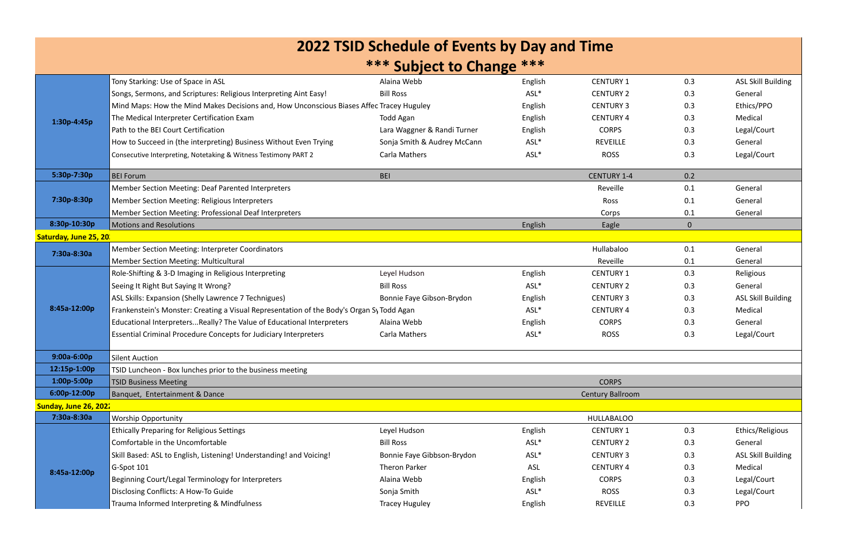| 2022 TSID Schedule of Events by Day and Time<br>*** Subject to Change ***<br><b>CENTURY 1</b><br>Tony Starking: Use of Space in ASL<br>0.3<br>Alaina Webb<br>English<br>ASL*<br>Songs, Sermons, and Scriptures: Religious Interpreting Aint Easy!<br><b>Bill Ross</b><br><b>CENTURY 2</b><br>0.3<br>General<br>Mind Maps: How the Mind Makes Decisions and, How Unconscious Biases Affec Tracey Huguley<br><b>CENTURY 3</b><br>Ethics/PPO<br>0.3<br>English<br>0.3<br>The Medical Interpreter Certification Exam<br>Todd Agan<br><b>CENTURY 4</b><br>Medical<br>English<br>1:30p-4:45p<br>Path to the BEI Court Certification<br><b>CORPS</b><br>Legal/Court<br>Lara Waggner & Randi Turner<br>0.3<br>English<br>ASL*<br><b>REVEILLE</b><br>0.3<br>How to Succeed in (the interpreting) Business Without Even Trying<br>Sonja Smith & Audrey McCann<br>General<br>ASL*<br>Legal/Court<br><b>ROSS</b><br>0.3<br><b>Carla Mathers</b><br>Consecutive Interpreting, Notetaking & Witness Testimony PART 2<br>5:30p-7:30p<br><b>BEI Forum</b><br><b>BEI</b><br><b>CENTURY 1-4</b><br>0.2<br>Member Section Meeting: Deaf Parented Interpreters<br>0.1<br>Reveille<br>General<br>7:30p-8:30p<br>0.1<br><b>Member Section Meeting: Religious Interpreters</b><br>Ross<br>General<br>0.1<br><b>Member Section Meeting: Professional Deaf Interpreters</b><br>Corps<br>General<br>8:30p-10:30p<br><b>Motions and Resolutions</b><br>English<br>Eagle<br>$\overline{0}$<br>Saturday, June 25, 20<br>Hullabaloo<br>Member Section Meeting: Interpreter Coordinators<br>0.1<br>General<br>7:30a-8:30a<br>Reveille<br>0.1<br><b>Member Section Meeting: Multicultural</b><br>General<br>Leyel Hudson<br><b>CENTURY 1</b><br>0.3<br>Role-Shifting & 3-D Imaging in Religious Interpreting<br>English<br>Religious<br><b>Bill Ross</b><br>ASL*<br><b>CENTURY 2</b><br>0.3<br>Seeing It Right But Saying It Wrong?<br>General<br>ASL Skills: Expansion (Shelly Lawrence 7 Technigues)<br>0.3<br>Bonnie Faye Gibson-Brydon<br><b>CENTURY 3</b><br>English<br>8:45a-12:00p<br>Frankenstein's Monster: Creating a Visual Representation of the Body's Organ Sy Todd Agan<br>ASL*<br><b>CENTURY 4</b><br>0.3<br>Medical<br>Educational InterpretersReally? The Value of Educational Interpreters<br>Alaina Webb<br><b>CORPS</b><br>0.3<br>General<br>English<br>Essential Criminal Procedure Concepts for Judiciary Interpreters<br>ASL*<br>Legal/Court<br><b>Carla Mathers</b><br><b>ROSS</b><br>0.3<br>$9:00a-6:00p$<br><b>Silent Auction</b><br>12:15p-1:00p<br>TSID Luncheon - Box lunches prior to the business meeting<br>1:00p-5:00p<br><b>CORPS</b><br><b>TSID Business Meeting</b><br>6:00p-12:00p<br>Banquet, Entertainment & Dance<br>Century Ballroom |                                                                                |      |             |     | <b>ASL Skill Building</b> |  |  |
|------------------------------------------------------------------------------------------------------------------------------------------------------------------------------------------------------------------------------------------------------------------------------------------------------------------------------------------------------------------------------------------------------------------------------------------------------------------------------------------------------------------------------------------------------------------------------------------------------------------------------------------------------------------------------------------------------------------------------------------------------------------------------------------------------------------------------------------------------------------------------------------------------------------------------------------------------------------------------------------------------------------------------------------------------------------------------------------------------------------------------------------------------------------------------------------------------------------------------------------------------------------------------------------------------------------------------------------------------------------------------------------------------------------------------------------------------------------------------------------------------------------------------------------------------------------------------------------------------------------------------------------------------------------------------------------------------------------------------------------------------------------------------------------------------------------------------------------------------------------------------------------------------------------------------------------------------------------------------------------------------------------------------------------------------------------------------------------------------------------------------------------------------------------------------------------------------------------------------------------------------------------------------------------------------------------------------------------------------------------------------------------------------------------------------------------------------------------------------------------------------------------------------------------------------------------------------------------------------------------------------------------------------------------------------------------------------------------------------------------------|--------------------------------------------------------------------------------|------|-------------|-----|---------------------------|--|--|
|                                                                                                                                                                                                                                                                                                                                                                                                                                                                                                                                                                                                                                                                                                                                                                                                                                                                                                                                                                                                                                                                                                                                                                                                                                                                                                                                                                                                                                                                                                                                                                                                                                                                                                                                                                                                                                                                                                                                                                                                                                                                                                                                                                                                                                                                                                                                                                                                                                                                                                                                                                                                                                                                                                                                                |                                                                                |      |             |     |                           |  |  |
|                                                                                                                                                                                                                                                                                                                                                                                                                                                                                                                                                                                                                                                                                                                                                                                                                                                                                                                                                                                                                                                                                                                                                                                                                                                                                                                                                                                                                                                                                                                                                                                                                                                                                                                                                                                                                                                                                                                                                                                                                                                                                                                                                                                                                                                                                                                                                                                                                                                                                                                                                                                                                                                                                                                                                |                                                                                |      |             |     |                           |  |  |
|                                                                                                                                                                                                                                                                                                                                                                                                                                                                                                                                                                                                                                                                                                                                                                                                                                                                                                                                                                                                                                                                                                                                                                                                                                                                                                                                                                                                                                                                                                                                                                                                                                                                                                                                                                                                                                                                                                                                                                                                                                                                                                                                                                                                                                                                                                                                                                                                                                                                                                                                                                                                                                                                                                                                                |                                                                                |      |             |     |                           |  |  |
|                                                                                                                                                                                                                                                                                                                                                                                                                                                                                                                                                                                                                                                                                                                                                                                                                                                                                                                                                                                                                                                                                                                                                                                                                                                                                                                                                                                                                                                                                                                                                                                                                                                                                                                                                                                                                                                                                                                                                                                                                                                                                                                                                                                                                                                                                                                                                                                                                                                                                                                                                                                                                                                                                                                                                |                                                                                |      |             |     |                           |  |  |
|                                                                                                                                                                                                                                                                                                                                                                                                                                                                                                                                                                                                                                                                                                                                                                                                                                                                                                                                                                                                                                                                                                                                                                                                                                                                                                                                                                                                                                                                                                                                                                                                                                                                                                                                                                                                                                                                                                                                                                                                                                                                                                                                                                                                                                                                                                                                                                                                                                                                                                                                                                                                                                                                                                                                                |                                                                                |      |             |     |                           |  |  |
|                                                                                                                                                                                                                                                                                                                                                                                                                                                                                                                                                                                                                                                                                                                                                                                                                                                                                                                                                                                                                                                                                                                                                                                                                                                                                                                                                                                                                                                                                                                                                                                                                                                                                                                                                                                                                                                                                                                                                                                                                                                                                                                                                                                                                                                                                                                                                                                                                                                                                                                                                                                                                                                                                                                                                |                                                                                |      |             |     |                           |  |  |
|                                                                                                                                                                                                                                                                                                                                                                                                                                                                                                                                                                                                                                                                                                                                                                                                                                                                                                                                                                                                                                                                                                                                                                                                                                                                                                                                                                                                                                                                                                                                                                                                                                                                                                                                                                                                                                                                                                                                                                                                                                                                                                                                                                                                                                                                                                                                                                                                                                                                                                                                                                                                                                                                                                                                                |                                                                                |      |             |     |                           |  |  |
|                                                                                                                                                                                                                                                                                                                                                                                                                                                                                                                                                                                                                                                                                                                                                                                                                                                                                                                                                                                                                                                                                                                                                                                                                                                                                                                                                                                                                                                                                                                                                                                                                                                                                                                                                                                                                                                                                                                                                                                                                                                                                                                                                                                                                                                                                                                                                                                                                                                                                                                                                                                                                                                                                                                                                |                                                                                |      |             |     |                           |  |  |
|                                                                                                                                                                                                                                                                                                                                                                                                                                                                                                                                                                                                                                                                                                                                                                                                                                                                                                                                                                                                                                                                                                                                                                                                                                                                                                                                                                                                                                                                                                                                                                                                                                                                                                                                                                                                                                                                                                                                                                                                                                                                                                                                                                                                                                                                                                                                                                                                                                                                                                                                                                                                                                                                                                                                                |                                                                                |      |             |     |                           |  |  |
|                                                                                                                                                                                                                                                                                                                                                                                                                                                                                                                                                                                                                                                                                                                                                                                                                                                                                                                                                                                                                                                                                                                                                                                                                                                                                                                                                                                                                                                                                                                                                                                                                                                                                                                                                                                                                                                                                                                                                                                                                                                                                                                                                                                                                                                                                                                                                                                                                                                                                                                                                                                                                                                                                                                                                |                                                                                |      |             |     |                           |  |  |
|                                                                                                                                                                                                                                                                                                                                                                                                                                                                                                                                                                                                                                                                                                                                                                                                                                                                                                                                                                                                                                                                                                                                                                                                                                                                                                                                                                                                                                                                                                                                                                                                                                                                                                                                                                                                                                                                                                                                                                                                                                                                                                                                                                                                                                                                                                                                                                                                                                                                                                                                                                                                                                                                                                                                                |                                                                                |      |             |     |                           |  |  |
|                                                                                                                                                                                                                                                                                                                                                                                                                                                                                                                                                                                                                                                                                                                                                                                                                                                                                                                                                                                                                                                                                                                                                                                                                                                                                                                                                                                                                                                                                                                                                                                                                                                                                                                                                                                                                                                                                                                                                                                                                                                                                                                                                                                                                                                                                                                                                                                                                                                                                                                                                                                                                                                                                                                                                |                                                                                |      |             |     |                           |  |  |
|                                                                                                                                                                                                                                                                                                                                                                                                                                                                                                                                                                                                                                                                                                                                                                                                                                                                                                                                                                                                                                                                                                                                                                                                                                                                                                                                                                                                                                                                                                                                                                                                                                                                                                                                                                                                                                                                                                                                                                                                                                                                                                                                                                                                                                                                                                                                                                                                                                                                                                                                                                                                                                                                                                                                                |                                                                                |      |             |     |                           |  |  |
|                                                                                                                                                                                                                                                                                                                                                                                                                                                                                                                                                                                                                                                                                                                                                                                                                                                                                                                                                                                                                                                                                                                                                                                                                                                                                                                                                                                                                                                                                                                                                                                                                                                                                                                                                                                                                                                                                                                                                                                                                                                                                                                                                                                                                                                                                                                                                                                                                                                                                                                                                                                                                                                                                                                                                |                                                                                |      |             |     |                           |  |  |
|                                                                                                                                                                                                                                                                                                                                                                                                                                                                                                                                                                                                                                                                                                                                                                                                                                                                                                                                                                                                                                                                                                                                                                                                                                                                                                                                                                                                                                                                                                                                                                                                                                                                                                                                                                                                                                                                                                                                                                                                                                                                                                                                                                                                                                                                                                                                                                                                                                                                                                                                                                                                                                                                                                                                                |                                                                                |      |             |     |                           |  |  |
|                                                                                                                                                                                                                                                                                                                                                                                                                                                                                                                                                                                                                                                                                                                                                                                                                                                                                                                                                                                                                                                                                                                                                                                                                                                                                                                                                                                                                                                                                                                                                                                                                                                                                                                                                                                                                                                                                                                                                                                                                                                                                                                                                                                                                                                                                                                                                                                                                                                                                                                                                                                                                                                                                                                                                |                                                                                |      |             |     |                           |  |  |
|                                                                                                                                                                                                                                                                                                                                                                                                                                                                                                                                                                                                                                                                                                                                                                                                                                                                                                                                                                                                                                                                                                                                                                                                                                                                                                                                                                                                                                                                                                                                                                                                                                                                                                                                                                                                                                                                                                                                                                                                                                                                                                                                                                                                                                                                                                                                                                                                                                                                                                                                                                                                                                                                                                                                                |                                                                                |      |             |     |                           |  |  |
|                                                                                                                                                                                                                                                                                                                                                                                                                                                                                                                                                                                                                                                                                                                                                                                                                                                                                                                                                                                                                                                                                                                                                                                                                                                                                                                                                                                                                                                                                                                                                                                                                                                                                                                                                                                                                                                                                                                                                                                                                                                                                                                                                                                                                                                                                                                                                                                                                                                                                                                                                                                                                                                                                                                                                |                                                                                |      |             |     |                           |  |  |
|                                                                                                                                                                                                                                                                                                                                                                                                                                                                                                                                                                                                                                                                                                                                                                                                                                                                                                                                                                                                                                                                                                                                                                                                                                                                                                                                                                                                                                                                                                                                                                                                                                                                                                                                                                                                                                                                                                                                                                                                                                                                                                                                                                                                                                                                                                                                                                                                                                                                                                                                                                                                                                                                                                                                                |                                                                                |      |             |     |                           |  |  |
|                                                                                                                                                                                                                                                                                                                                                                                                                                                                                                                                                                                                                                                                                                                                                                                                                                                                                                                                                                                                                                                                                                                                                                                                                                                                                                                                                                                                                                                                                                                                                                                                                                                                                                                                                                                                                                                                                                                                                                                                                                                                                                                                                                                                                                                                                                                                                                                                                                                                                                                                                                                                                                                                                                                                                |                                                                                |      |             |     |                           |  |  |
|                                                                                                                                                                                                                                                                                                                                                                                                                                                                                                                                                                                                                                                                                                                                                                                                                                                                                                                                                                                                                                                                                                                                                                                                                                                                                                                                                                                                                                                                                                                                                                                                                                                                                                                                                                                                                                                                                                                                                                                                                                                                                                                                                                                                                                                                                                                                                                                                                                                                                                                                                                                                                                                                                                                                                |                                                                                |      |             |     | <b>ASL Skill Building</b> |  |  |
|                                                                                                                                                                                                                                                                                                                                                                                                                                                                                                                                                                                                                                                                                                                                                                                                                                                                                                                                                                                                                                                                                                                                                                                                                                                                                                                                                                                                                                                                                                                                                                                                                                                                                                                                                                                                                                                                                                                                                                                                                                                                                                                                                                                                                                                                                                                                                                                                                                                                                                                                                                                                                                                                                                                                                |                                                                                |      |             |     |                           |  |  |
|                                                                                                                                                                                                                                                                                                                                                                                                                                                                                                                                                                                                                                                                                                                                                                                                                                                                                                                                                                                                                                                                                                                                                                                                                                                                                                                                                                                                                                                                                                                                                                                                                                                                                                                                                                                                                                                                                                                                                                                                                                                                                                                                                                                                                                                                                                                                                                                                                                                                                                                                                                                                                                                                                                                                                |                                                                                |      |             |     |                           |  |  |
|                                                                                                                                                                                                                                                                                                                                                                                                                                                                                                                                                                                                                                                                                                                                                                                                                                                                                                                                                                                                                                                                                                                                                                                                                                                                                                                                                                                                                                                                                                                                                                                                                                                                                                                                                                                                                                                                                                                                                                                                                                                                                                                                                                                                                                                                                                                                                                                                                                                                                                                                                                                                                                                                                                                                                |                                                                                |      |             |     |                           |  |  |
|                                                                                                                                                                                                                                                                                                                                                                                                                                                                                                                                                                                                                                                                                                                                                                                                                                                                                                                                                                                                                                                                                                                                                                                                                                                                                                                                                                                                                                                                                                                                                                                                                                                                                                                                                                                                                                                                                                                                                                                                                                                                                                                                                                                                                                                                                                                                                                                                                                                                                                                                                                                                                                                                                                                                                |                                                                                |      |             |     |                           |  |  |
|                                                                                                                                                                                                                                                                                                                                                                                                                                                                                                                                                                                                                                                                                                                                                                                                                                                                                                                                                                                                                                                                                                                                                                                                                                                                                                                                                                                                                                                                                                                                                                                                                                                                                                                                                                                                                                                                                                                                                                                                                                                                                                                                                                                                                                                                                                                                                                                                                                                                                                                                                                                                                                                                                                                                                |                                                                                |      |             |     |                           |  |  |
|                                                                                                                                                                                                                                                                                                                                                                                                                                                                                                                                                                                                                                                                                                                                                                                                                                                                                                                                                                                                                                                                                                                                                                                                                                                                                                                                                                                                                                                                                                                                                                                                                                                                                                                                                                                                                                                                                                                                                                                                                                                                                                                                                                                                                                                                                                                                                                                                                                                                                                                                                                                                                                                                                                                                                |                                                                                |      |             |     |                           |  |  |
|                                                                                                                                                                                                                                                                                                                                                                                                                                                                                                                                                                                                                                                                                                                                                                                                                                                                                                                                                                                                                                                                                                                                                                                                                                                                                                                                                                                                                                                                                                                                                                                                                                                                                                                                                                                                                                                                                                                                                                                                                                                                                                                                                                                                                                                                                                                                                                                                                                                                                                                                                                                                                                                                                                                                                |                                                                                |      |             |     |                           |  |  |
| Sunday, June 26, 2022                                                                                                                                                                                                                                                                                                                                                                                                                                                                                                                                                                                                                                                                                                                                                                                                                                                                                                                                                                                                                                                                                                                                                                                                                                                                                                                                                                                                                                                                                                                                                                                                                                                                                                                                                                                                                                                                                                                                                                                                                                                                                                                                                                                                                                                                                                                                                                                                                                                                                                                                                                                                                                                                                                                          |                                                                                |      |             |     |                           |  |  |
| 7:30a-8:30a<br><b>Worship Opportunity</b><br><b>HULLABALOO</b>                                                                                                                                                                                                                                                                                                                                                                                                                                                                                                                                                                                                                                                                                                                                                                                                                                                                                                                                                                                                                                                                                                                                                                                                                                                                                                                                                                                                                                                                                                                                                                                                                                                                                                                                                                                                                                                                                                                                                                                                                                                                                                                                                                                                                                                                                                                                                                                                                                                                                                                                                                                                                                                                                 |                                                                                |      |             |     |                           |  |  |
| Leyel Hudson<br><b>Ethically Preparing for Religious Settings</b><br>English<br><b>CENTURY 1</b><br>0.3                                                                                                                                                                                                                                                                                                                                                                                                                                                                                                                                                                                                                                                                                                                                                                                                                                                                                                                                                                                                                                                                                                                                                                                                                                                                                                                                                                                                                                                                                                                                                                                                                                                                                                                                                                                                                                                                                                                                                                                                                                                                                                                                                                                                                                                                                                                                                                                                                                                                                                                                                                                                                                        |                                                                                |      |             |     | Ethics/Religious          |  |  |
| Comfortable in the Uncomfortable<br><b>Bill Ross</b><br>ASL*<br><b>CENTURY 2</b><br>0.3<br>General                                                                                                                                                                                                                                                                                                                                                                                                                                                                                                                                                                                                                                                                                                                                                                                                                                                                                                                                                                                                                                                                                                                                                                                                                                                                                                                                                                                                                                                                                                                                                                                                                                                                                                                                                                                                                                                                                                                                                                                                                                                                                                                                                                                                                                                                                                                                                                                                                                                                                                                                                                                                                                             |                                                                                |      |             |     |                           |  |  |
| ASL*<br>Skill Based: ASL to English, Listening! Understanding! and Voicing!<br>Bonnie Faye Gibbson-Brydon<br><b>CENTURY 3</b><br>0.3                                                                                                                                                                                                                                                                                                                                                                                                                                                                                                                                                                                                                                                                                                                                                                                                                                                                                                                                                                                                                                                                                                                                                                                                                                                                                                                                                                                                                                                                                                                                                                                                                                                                                                                                                                                                                                                                                                                                                                                                                                                                                                                                                                                                                                                                                                                                                                                                                                                                                                                                                                                                           |                                                                                |      |             |     | <b>ASL Skill Building</b> |  |  |
| <b>Theron Parker</b><br>ASL<br><b>CENTURY 4</b><br>0.3<br>Medical<br>G-Spot 101                                                                                                                                                                                                                                                                                                                                                                                                                                                                                                                                                                                                                                                                                                                                                                                                                                                                                                                                                                                                                                                                                                                                                                                                                                                                                                                                                                                                                                                                                                                                                                                                                                                                                                                                                                                                                                                                                                                                                                                                                                                                                                                                                                                                                                                                                                                                                                                                                                                                                                                                                                                                                                                                |                                                                                |      |             |     |                           |  |  |
| 8:45a-12:00p<br>Legal/Court<br>Beginning Court/Legal Terminology for Interpreters<br>Alaina Webb<br><b>CORPS</b><br>0.3<br>English                                                                                                                                                                                                                                                                                                                                                                                                                                                                                                                                                                                                                                                                                                                                                                                                                                                                                                                                                                                                                                                                                                                                                                                                                                                                                                                                                                                                                                                                                                                                                                                                                                                                                                                                                                                                                                                                                                                                                                                                                                                                                                                                                                                                                                                                                                                                                                                                                                                                                                                                                                                                             |                                                                                |      |             |     |                           |  |  |
|                                                                                                                                                                                                                                                                                                                                                                                                                                                                                                                                                                                                                                                                                                                                                                                                                                                                                                                                                                                                                                                                                                                                                                                                                                                                                                                                                                                                                                                                                                                                                                                                                                                                                                                                                                                                                                                                                                                                                                                                                                                                                                                                                                                                                                                                                                                                                                                                                                                                                                                                                                                                                                                                                                                                                | Disclosing Conflicts: A How-To Guide<br>Sonja Smith                            | ASL* | <b>ROSS</b> | 0.3 | Legal/Court               |  |  |
|                                                                                                                                                                                                                                                                                                                                                                                                                                                                                                                                                                                                                                                                                                                                                                                                                                                                                                                                                                                                                                                                                                                                                                                                                                                                                                                                                                                                                                                                                                                                                                                                                                                                                                                                                                                                                                                                                                                                                                                                                                                                                                                                                                                                                                                                                                                                                                                                                                                                                                                                                                                                                                                                                                                                                | Trauma Informed Interpreting & Mindfulness<br><b>Tracey Huguley</b><br>English |      | REVEILLE    | 0.3 | <b>PPO</b>                |  |  |

- 
- 
- 
-